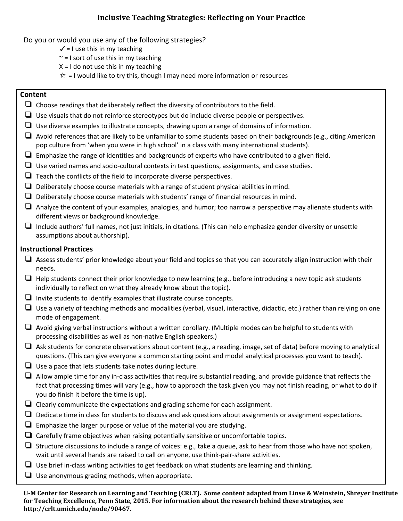# **Inclusive Teaching Strategies: Reflecting on Your Practice**

Do you or would you use any of the following strategies?

- $\checkmark$  = I use this in my teaching
- $\sim$  = I sort of use this in my teaching
- $X = I$  do not use this in my teaching
- $\hat{x}$  = I would like to try this, though I may need more information or resources

## **Content**

- $\Box$  Choose readings that deliberately reflect the diversity of contributors to the field.
- ❏ Use visuals that do not reinforce stereotypes but do include diverse people or perspectives.
- ❏ Use diverse examples to illustrate concepts, drawing upon a range of domains of information.
- ❏ Avoid references that are likely to be unfamiliar to some students based on their backgrounds (e.g., citing American pop culture from 'when you were in high school' in a class with many international students).
- $\Box$  Emphasize the range of identities and backgrounds of experts who have contributed to a given field.
- ❏ Use varied names and socio-cultural contexts in test questions, assignments, and case studies.
- ❏ Teach the conflicts of the field to incorporate diverse perspectives.
- $\Box$  Deliberately choose course materials with a range of student physical abilities in mind.
- ❏ Deliberately choose course materials with students' range of financial resources in mind.
- ❏ Analyze the content of your examples, analogies, and humor; too narrow a perspective may alienate students with different views or background knowledge.
- ❏ Include authors' full names, not just initials, in citations. (This can help emphasize gender diversity or unsettle assumptions about authorship).

### **Instructional Practices**

- ❏ Assess students' prior knowledge about your field and topics so that you can accurately align instruction with their needs.
- ❏ Help students connect their prior knowledge to new learning (e.g., before introducing a new topic ask students individually to reflect on what they already know about the topic).
- ❏ Invite students to identify examples that illustrate course concepts.
- ❏ Use a variety of teaching methods and modalities (verbal, visual, interactive, didactic, etc.) rather than relying on one mode of engagement.
- ❏ Avoid giving verbal instructions without a written corollary. (Multiple modes can be helpful to students with processing disabilities as well as non-native English speakers.)
- ❏ Ask students for concrete observations about content (e.g., a reading, image, set of data) before moving to analytical questions. (This can give everyone a common starting point and model analytical processes you want to teach).
- ❏ Use a pace that lets students take notes during lecture.
- ❏ Allow ample time for any in-class activities that require substantial reading, and provide guidance that reflects the fact that processing times will vary (e.g., how to approach the task given you may not finish reading, or what to do if you do finish it before the time is up).
- ❏ Clearly communicate the expectations and grading scheme for each assignment.
- ❏ Dedicate time in class for students to discuss and ask questions about assignments or assignment expectations.
- ❏ Emphasize the larger purpose or value of the material you are studying.
- ❏ Carefully frame objectives when raising potentially sensitive or uncomfortable topics.
- ❏ Structure discussions to include a range of voices: e.g., take a queue, ask to hear from those who have not spoken, wait until several hands are raised to call on anyone, use think-pair-share activities.
- ❏ Use brief in-class writing activities to get feedback on what students are learning and thinking.
- ❏ Use anonymous grading methods, when appropriate.

U-M Center for Research on Learning and Teaching (CRLT). Some content adapted from Linse & Weinstein, Shreyer Institute **for Teaching Excellence, Penn State, 2015. For information about the research behind these strategies, see http://crlt.umich.edu/node/90467.**